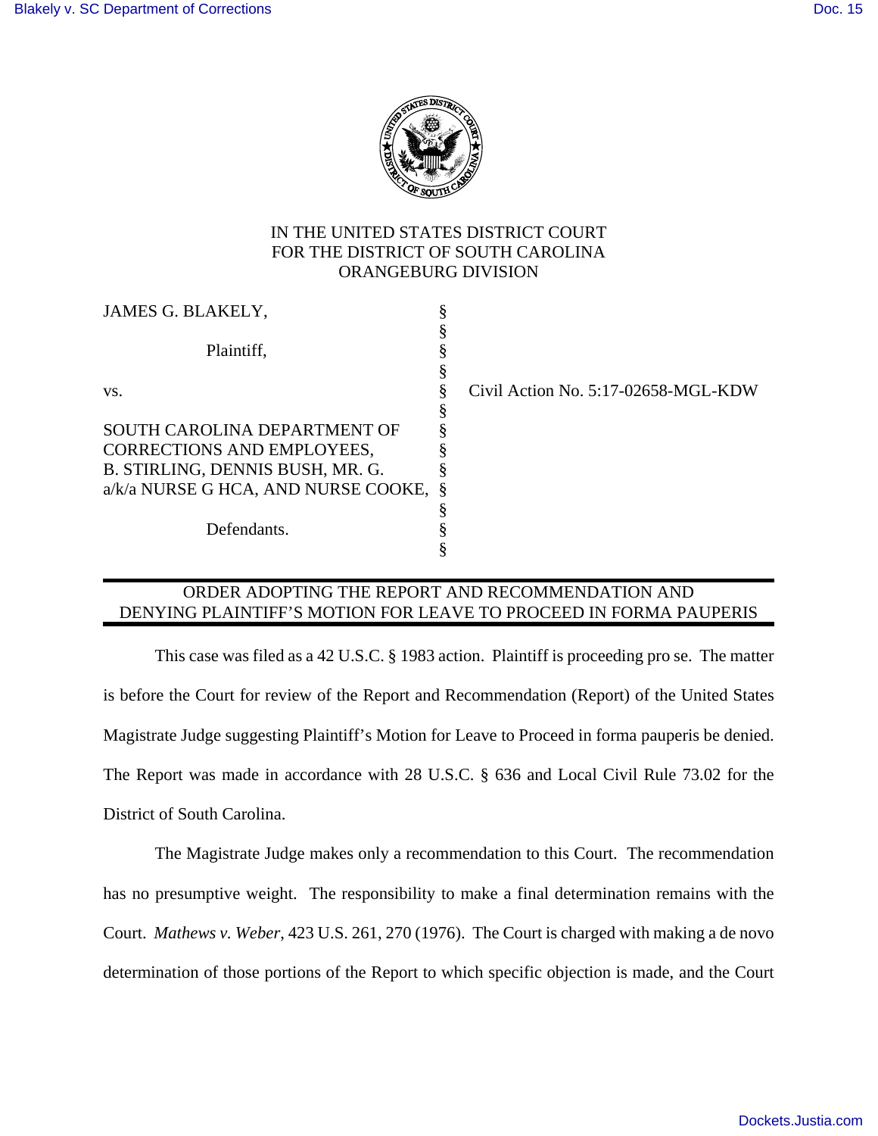

## IN THE UNITED STATES DISTRICT COURT FOR THE DISTRICT OF SOUTH CAROLINA ORANGEBURG DIVISION

| JAMES G. BLAKELY,                     |                                     |
|---------------------------------------|-------------------------------------|
|                                       |                                     |
| Plaintiff,                            |                                     |
|                                       |                                     |
| VS.                                   | Civil Action No. 5:17-02658-MGL-KDW |
|                                       |                                     |
| SOUTH CAROLINA DEPARTMENT OF          |                                     |
| CORRECTIONS AND EMPLOYEES,            |                                     |
| B. STIRLING, DENNIS BUSH, MR. G.      |                                     |
| a/k/a NURSE G HCA, AND NURSE COOKE, § |                                     |
|                                       |                                     |
| Defendants.                           |                                     |
|                                       |                                     |

## ORDER ADOPTING THE REPORT AND RECOMMENDATION AND DENYING PLAINTIFF'S MOTION FOR LEAVE TO PROCEED IN FORMA PAUPERIS

 This case was filed as a 42 U.S.C. § 1983 action. Plaintiff is proceeding pro se. The matter is before the Court for review of the Report and Recommendation (Report) of the United States Magistrate Judge suggesting Plaintiff's Motion for Leave to Proceed in forma pauperis be denied. The Report was made in accordance with 28 U.S.C. § 636 and Local Civil Rule 73.02 for the District of South Carolina.

The Magistrate Judge makes only a recommendation to this Court. The recommendation has no presumptive weight. The responsibility to make a final determination remains with the Court. *Mathews v. Weber*, 423 U.S. 261, 270 (1976). The Court is charged with making a de novo determination of those portions of the Report to which specific objection is made, and the Court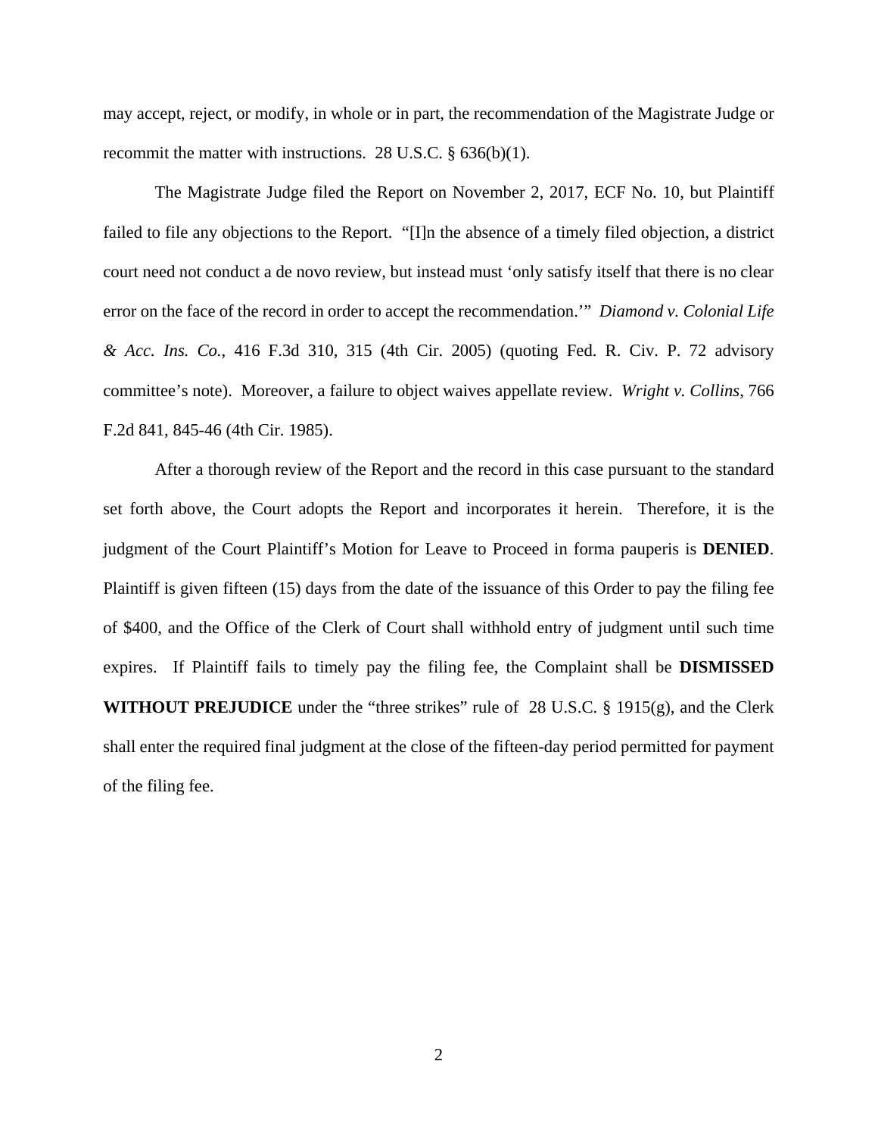may accept, reject, or modify, in whole or in part, the recommendation of the Magistrate Judge or recommit the matter with instructions. 28 U.S.C. § 636(b)(1).

The Magistrate Judge filed the Report on November 2, 2017, ECF No. 10, but Plaintiff failed to file any objections to the Report. "[I]n the absence of a timely filed objection, a district court need not conduct a de novo review, but instead must 'only satisfy itself that there is no clear error on the face of the record in order to accept the recommendation.'" *Diamond v. Colonial Life & Acc. Ins. Co.*, 416 F.3d 310, 315 (4th Cir. 2005) (quoting Fed. R. Civ. P. 72 advisory committee's note). Moreover, a failure to object waives appellate review. *Wright v. Collins*, 766 F.2d 841, 845-46 (4th Cir. 1985).

After a thorough review of the Report and the record in this case pursuant to the standard set forth above, the Court adopts the Report and incorporates it herein. Therefore, it is the judgment of the Court Plaintiff's Motion for Leave to Proceed in forma pauperis is **DENIED**. Plaintiff is given fifteen (15) days from the date of the issuance of this Order to pay the filing fee of \$400, and the Office of the Clerk of Court shall withhold entry of judgment until such time expires. If Plaintiff fails to timely pay the filing fee, the Complaint shall be **DISMISSED WITHOUT PREJUDICE** under the "three strikes" rule of 28 U.S.C. § 1915(g), and the Clerk shall enter the required final judgment at the close of the fifteen-day period permitted for payment of the filing fee.